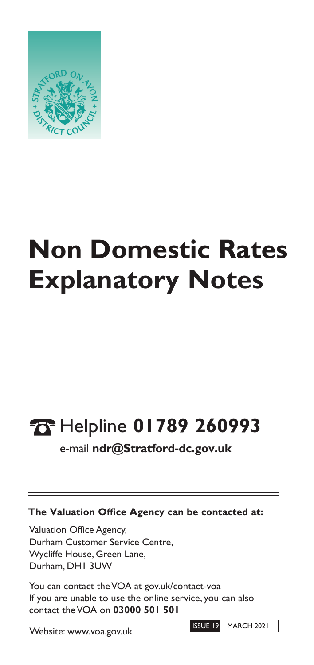

## **Explanatory Notes Non Domestic Rates**

# Helpline **01789 260993 10**<br>
<br>
The

e-mail **ndr@Stratford-dc.gov.uk**

### **The Valuation Office Agency can be contacted at:**

Valuation Office Agency, Durham Customer Service Centre, Wycliffe House, Green Lane, Durham, DH1 3UW

You can contact the VOA at gov.uk/contact-voa If you are unable to use the online service, you can also contact theVOA on **03000 501 501**

Website: www.voa.gov.uk

ISSUE 19 MARCH 2021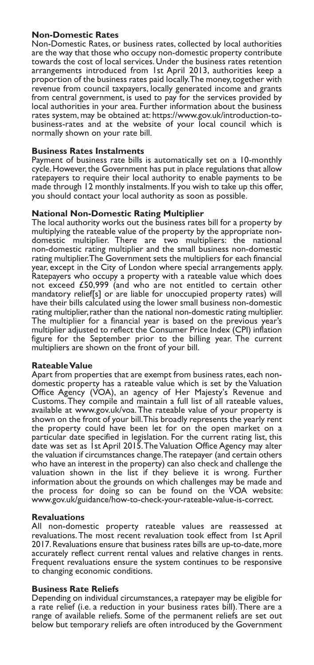#### **Non-Domestic Rates**

Non-Domestic Rates, or business rates, collected by local authorities are the way that those who occupy non-domestic property contribute towards the cost of local services. Under the business rates retention arrangements introduced from 1st April 2013, authorities keep a proportion of the business rates paid locally.The money,together with revenue from council taxpayers, locally generated income and grants from central government, is used to pay for the services provided by local authorities in your area. Further information about the business rates system, may be obtained at: https://www.gov.uk/introduction-tobusiness-rates and at the website of your local council which is normally shown on your rate bill.

#### **Business Rates Instalments**

Payment of business rate bills is automatically set on a 10-monthly cycle. However, the Government has put in place regulations that allow ratepayers to require their local authority to enable payments to be made through 12 monthly instalments. If you wish to take up this offer, you should contact your local authority as soon as possible.

#### **National Non-Domestic Rating Multiplier**

The local authority works out the business rates bill for a property by multiplying the rateable value of the property by the appropriate nondomestic multiplier. There are two multipliers: the national non-domestic rating multiplier and the small business non-domestic rating multiplier.The Government sets the multipliers for each financial year, except in the City of London where special arrangements apply. Ratepayers who occupy a property with a rateable value which does not exceed £50,999 (and who are not entitled to certain other mandatory relief[s] or are liable for unoccupied property rates) will have their bills calculated using the lower small business non-domestic rating multiplier, rather than the national non-domestic rating multiplier. The multiplier for a financial year is based on the previous year's multiplier adjusted to reflect the Consumer Price Index (CPI) inflation figure for the September prior to the billing year. The current multipliers are shown on the front of your bill.

#### **Rateable Value**

Apart from properties that are exempt from business rates, each nondomestic property has a rateable value which is set by the Valuation Office Agency (VOA), an agency of Her Majesty's Revenue and Customs.They compile and maintain a full list of all rateable values, available at www.gov.uk/voa.The rateable value of your property is shown on the front of your bill.This broadly represents the yearly rent the property could have been let for on the open market on a particular date specified in legislation. For the current rating list, this date was set as 1st April 2015. The Valuation Office Agency may alter the valuation if circumstances change.The ratepayer (and certain others who have an interest in the property) can also check and challenge the valuation shown in the list if they believe it is wrong. Further information about the grounds on which challenges may be made and the process for doing so can be found on the VOA website: www.gov.uk/guidance/how-to-check-your-rateable-value-is-correct.

#### **Revaluations**

All non-domestic property rateable values are reassessed at revaluations.The most recent revaluation took effect from 1st April 2017. Revaluations ensure that business rates bills are up-to-date, more accurately reflect current rental values and relative changes in rents. Frequent revaluations ensure the system continues to be responsive to changing economic conditions.

#### **Business Rate Reliefs**

Depending on individual circumstances, a ratepayer may be eligible for a rate relief (i.e. a reduction in your business rates bill).There are a range of available reliefs. Some of the permanent reliefs are set out below but temporary reliefs are often introduced by the Government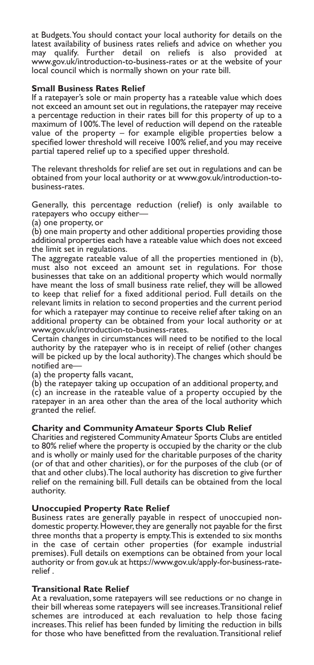at Budgets.You should contact your local authority for details on the latest availability of business rates reliefs and advice on whether you may qualify. Further detail on reliefs is also provided at www.gov.uk/introduction-to-business-rates or at the website of your local council which is normally shown on your rate bill.

#### **Small Business Rates Relief**

If a ratepayer's sole or main property has a rateable value which does not exceed an amount set out in regulations,the ratepayer may receive a percentage reduction in their rates bill for this property of up to a maximum of 100%.The level of reduction will depend on the rateable value of the property – for example eligible properties below a specified lower threshold will receive 100% relief, and you may receive partial tapered relief up to a specified upper threshold.

The relevant thresholds for relief are set out in regulations and can be obtained from your local authority or at www.gov.uk/introduction-tobusiness-rates.

Generally, this percentage reduction (relief) is only available to ratepayers who occupy either—

(a) one property, or

(b) one main property and other additional properties providing those additional properties each have a rateable value which does not exceed the limit set in regulations.

The aggregate rateable value of all the properties mentioned in (b), must also not exceed an amount set in regulations. For those businesses that take on an additional property which would normally have meant the loss of small business rate relief, they will be allowed to keep that relief for a fixed additional period. Full details on the relevant limits in relation to second properties and the current period for which a ratepayer may continue to receive relief after taking on an additional property can be obtained from your local authority or at www.gov.uk/introduction-to-business-rates.

Certain changes in circumstances will need to be notified to the local authority by the ratepayer who is in receipt of relief (other changes will be picked up by the local authority).The changes which should be notified are—

(a) the property falls vacant,

(b) the ratepayer taking up occupation of an additional property, and (c) an increase in the rateable value of a property occupied by the ratepayer in an area other than the area of the local authority which granted the relief.

#### **Charity and Community Amateur Sports Club Relief**

Charities and registered CommunityAmateur Sports Clubs are entitled to 80% relief where the property is occupied by the charity or the club and is wholly or mainly used for the charitable purposes of the charity (or of that and other charities), or for the purposes of the club (or of that and other clubs).The local authority has discretion to give further relief on the remaining bill. Full details can be obtained from the local authority.

#### **Unoccupied Property Rate Relief**

Business rates are generally payable in respect of unoccupied nondomestic property.However,they are generally not payable for the first three months that a property is empty.This is extended to six months in the case of certain other properties (for example industrial premises). Full details on exemptions can be obtained from your local authority or from gov.uk at https://www.gov.uk/apply-for-business-raterelief .

#### **Transitional Rate Relief**

At a revaluation, some ratepayers will see reductions or no change in their bill whereas some ratepayers will see increases.Transitional relief schemes are introduced at each revaluation to help those facing increases.This relief has been funded by limiting the reduction in bills for those who have benefitted from the revaluation.Transitional relief